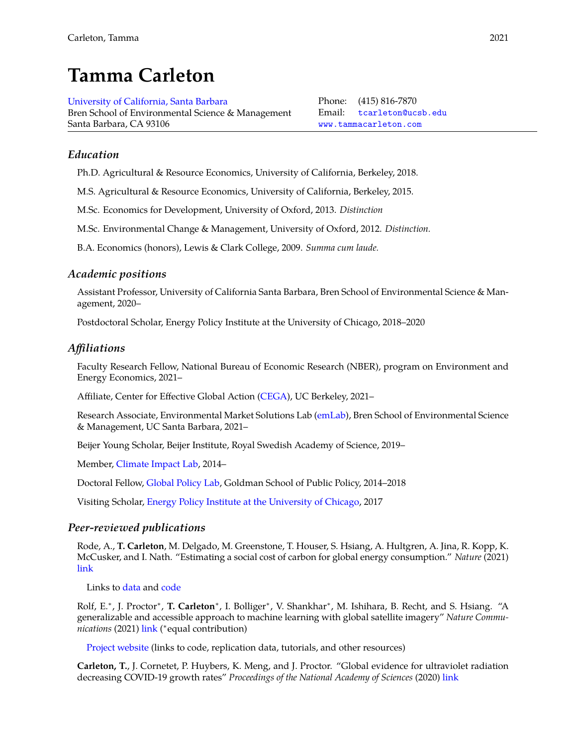# **Tamma Carleton**

[University of California, Santa Barbara](https://bren.ucsb.edu/) Bren School of Environmental Science & Management Santa Barbara, CA 93106

Phone: (415) 816-7870 Email: [tcarleton@ucsb.edu](mailto:tcarleton@ucsb.edu) [www.tammacarleton.com](https://www.tammacarleton.com)

## *Education*

Ph.D. Agricultural & Resource Economics, University of California, Berkeley, 2018.

M.S. Agricultural & Resource Economics, University of California, Berkeley, 2015.

M.Sc. Economics for Development, University of Oxford, 2013. *Distinction*

M.Sc. Environmental Change & Management, University of Oxford, 2012. *Distinction.*

B.A. Economics (honors), Lewis & Clark College, 2009. *Summa cum laude.*

## *Academic positions*

Assistant Professor, University of California Santa Barbara, Bren School of Environmental Science & Management, 2020–

Postdoctoral Scholar, Energy Policy Institute at the University of Chicago, 2018–2020

#### *Affiliations*

Faculty Research Fellow, National Bureau of Economic Research (NBER), program on Environment and Energy Economics, 2021–

Affiliate, Center for Effective Global Action [\(CEGA\)](https://cega.berkeley.edu/), UC Berkeley, 2021–

Research Associate, Environmental Market Solutions Lab [\(emLab\)](https://emlab.msi.ucsb.edu/), Bren School of Environmental Science & Management, UC Santa Barbara, 2021–

Beijer Young Scholar, Beijer Institute, Royal Swedish Academy of Science, 2019–

Member, [Climate Impact Lab,](www.impactlab.org) 2014–

Doctoral Fellow, [Global Policy Lab,](www.globalpolicy.science) Goldman School of Public Policy, 2014–2018

Visiting Scholar, [Energy Policy Institute at the University of Chicago,](https://epic.uchicago.edu/) 2017

## *Peer-reviewed publications*

Rode, A., **T. Carleton**, M. Delgado, M. Greenstone, T. Houser, S. Hsiang, A. Hultgren, A. Jina, R. Kopp, K. McCusker, and I. Nath. "Estimating a social cost of carbon for global energy consumption." *Nature* (2021) [link](https://www.nature.com/articles/s41586-021-03883-8)

Links to [data](https://doi.org/10.5281/zenodo.5099834) and [code](https://github.com/ClimateImpactLab/energy-code-release-2020/)

Rolf, E.<sup>\*</sup>, J. Proctor<sup>\*</sup>, T. Carleton<sup>\*</sup>, I. Bolliger<sup>\*</sup>, V. Shankhar<sup>\*</sup>, M. Ishihara, B. Recht, and S. Hsiang. "A generalizable and accessible approach to machine learning with global satellite imagery" *Nature Communications* (2021) [link](https://rdcu.be/cpODW) ( ∗ equal contribution)

[Project website](http://www.globalpolicy.science/mosaiks) (links to code, replication data, tutorials, and other resources)

**Carleton, T.**, J. Cornetet, P. Huybers, K. Meng, and J. Proctor. "Global evidence for ultraviolet radiation decreasing COVID-19 growth rates" *Proceedings of the National Academy of Sciences* (2020) [link](https://doi.org/10.1073/pnas.2012370118)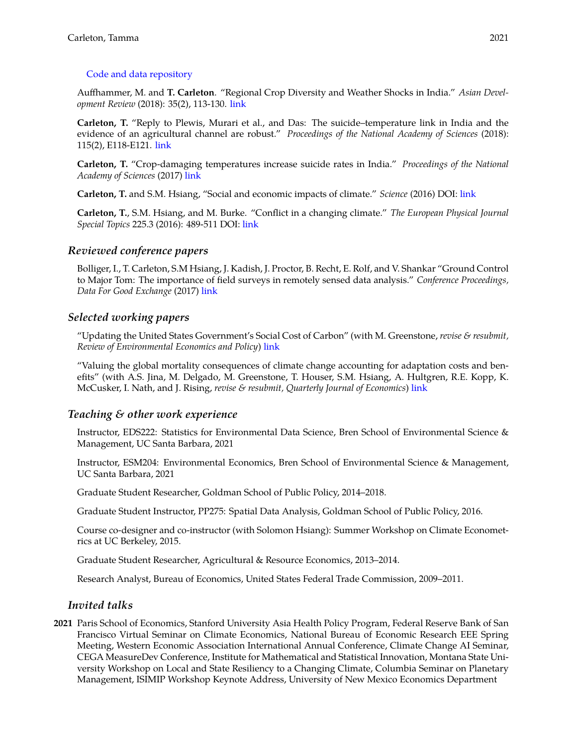#### [Code and data repository](https://doi.org/10.5281/zenodo.4304620)

Auffhammer, M. and **T. Carleton**. "Regional Crop Diversity and Weather Shocks in India." *Asian Development Review* (2018): 35(2), 113-130. [link](https://www.mitpressjournals.org/doi/abs/10.1162/adev_a_00116)

**Carleton, T.** "Reply to Plewis, Murari et al., and Das: The suicide–temperature link in India and the evidence of an agricultural channel are robust." *Proceedings of the National Academy of Sciences* (2018): 115(2), E118-E121. [link](https://doi.org/10.1073/pnas.1715454115)

**Carleton, T.** "Crop-damaging temperatures increase suicide rates in India." *Proceedings of the National Academy of Sciences* (2017) [link](http://www.pnas.org/content/114/33/8746.abstract)

**Carleton, T.** and S.M. Hsiang, "Social and economic impacts of climate." *Science* (2016) DOI: [link](http://science.sciencemag.org/content/353/6304/aad9837/tab-pdf)

**Carleton, T.**, S.M. Hsiang, and M. Burke. "Conflict in a changing climate." *The European Physical Journal Special Topics* 225.3 (2016): 489-511 DOI: [link](https://link.springer.com/article/10.1140/epjst/e2015-50100-5)

#### *Reviewed conference papers*

Bolliger, I., T. Carleton, S.M Hsiang, J. Kadish, J. Proctor, B. Recht, E. Rolf, and V. Shankar "Ground Control to Major Tom: The importance of field surveys in remotely sensed data analysis." *Conference Proceedings, Data For Good Exchange* (2017) [link](https://arxiv.org/abs/1710.09342)

## *Selected working papers*

"Updating the United States Government's Social Cost of Carbon" (with M. Greenstone, *revise & resubmit, Review of Environmental Economics and Policy*) [link](https://papers.ssrn.com/sol3/papers.cfm?abstract_id=3764255)

"Valuing the global mortality consequences of climate change accounting for adaptation costs and benefits" (with A.S. Jina, M. Delgado, M. Greenstone, T. Houser, S.M. Hsiang, A. Hultgren, R.E. Kopp, K. McCusker, I. Nath, and J. Rising, *revise & resubmit, Quarterly Journal of Economics*) [link](https://www.nber.org/system/files/working_papers/w27599/w27599.pdf)

## *Teaching & other work experience*

Instructor, EDS222: Statistics for Environmental Data Science, Bren School of Environmental Science & Management, UC Santa Barbara, 2021

Instructor, ESM204: Environmental Economics, Bren School of Environmental Science & Management, UC Santa Barbara, 2021

Graduate Student Researcher, Goldman School of Public Policy, 2014–2018.

Graduate Student Instructor, PP275: Spatial Data Analysis, Goldman School of Public Policy, 2016.

Course co-designer and co-instructor (with Solomon Hsiang): Summer Workshop on Climate Econometrics at UC Berkeley, 2015.

Graduate Student Researcher, Agricultural & Resource Economics, 2013–2014.

Research Analyst, Bureau of Economics, United States Federal Trade Commission, 2009–2011.

## *Invited talks*

**2021** Paris School of Economics, Stanford University Asia Health Policy Program, Federal Reserve Bank of San Francisco Virtual Seminar on Climate Economics, National Bureau of Economic Research EEE Spring Meeting, Western Economic Association International Annual Conference, Climate Change AI Seminar, CEGA MeasureDev Conference, Institute for Mathematical and Statistical Innovation, Montana State University Workshop on Local and State Resiliency to a Changing Climate, Columbia Seminar on Planetary Management, ISIMIP Workshop Keynote Address, University of New Mexico Economics Department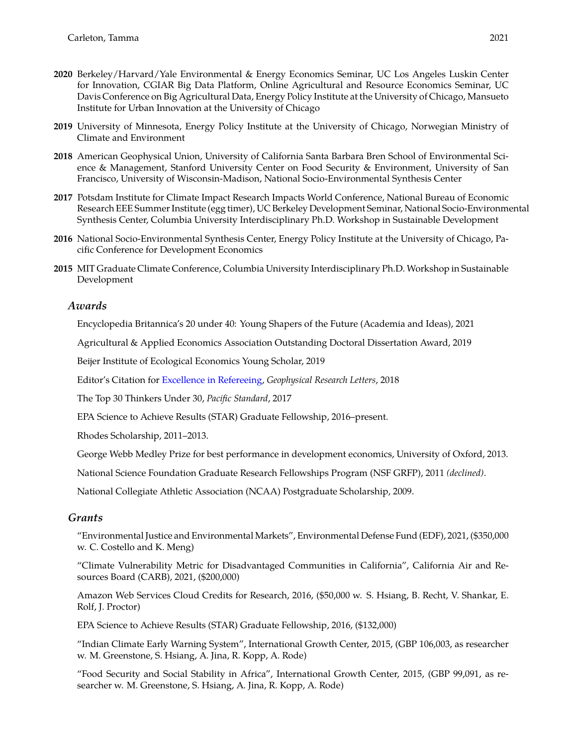- **2020** Berkeley/Harvard/Yale Environmental & Energy Economics Seminar, UC Los Angeles Luskin Center for Innovation, CGIAR Big Data Platform, Online Agricultural and Resource Economics Seminar, UC Davis Conference on Big Agricultural Data, Energy Policy Institute at the University of Chicago, Mansueto Institute for Urban Innovation at the University of Chicago
- **2019** University of Minnesota, Energy Policy Institute at the University of Chicago, Norwegian Ministry of Climate and Environment
- **2018** American Geophysical Union, University of California Santa Barbara Bren School of Environmental Science & Management, Stanford University Center on Food Security & Environment, University of San Francisco, University of Wisconsin-Madison, National Socio-Environmental Synthesis Center
- **2017** Potsdam Institute for Climate Impact Research Impacts World Conference, National Bureau of Economic Research EEE Summer Institute (egg timer), UC Berkeley Development Seminar, National Socio-Environmental Synthesis Center, Columbia University Interdisciplinary Ph.D. Workshop in Sustainable Development
- **2016** National Socio-Environmental Synthesis Center, Energy Policy Institute at the University of Chicago, Pacific Conference for Development Economics
- **2015** MIT Graduate Climate Conference, Columbia University Interdisciplinary Ph.D. Workshop in Sustainable Development

#### *Awards*

Encyclopedia Britannica's 20 under 40: Young Shapers of the Future (Academia and Ideas), 2021

Agricultural & Applied Economics Association Outstanding Doctoral Dissertation Award, 2019

Beijer Institute of Ecological Economics Young Scholar, 2019

Editor's Citation for [Excellence in Refereeing,](https://eos.org/agu-news/in-appreciation-of-agus-outstanding-reviewers-of-2018) *Geophysical Research Letters*, 2018

The Top 30 Thinkers Under 30, *Pacific Standard*, 2017

EPA Science to Achieve Results (STAR) Graduate Fellowship, 2016–present.

Rhodes Scholarship, 2011–2013.

George Webb Medley Prize for best performance in development economics, University of Oxford, 2013.

National Science Foundation Graduate Research Fellowships Program (NSF GRFP), 2011 *(declined)*.

National Collegiate Athletic Association (NCAA) Postgraduate Scholarship, 2009.

#### *Grants*

"Environmental Justice and Environmental Markets", Environmental Defense Fund (EDF), 2021, (\$350,000 w. C. Costello and K. Meng)

"Climate Vulnerability Metric for Disadvantaged Communities in California", California Air and Resources Board (CARB), 2021, (\$200,000)

Amazon Web Services Cloud Credits for Research, 2016, (\$50,000 w. S. Hsiang, B. Recht, V. Shankar, E. Rolf, J. Proctor)

EPA Science to Achieve Results (STAR) Graduate Fellowship, 2016, (\$132,000)

"Indian Climate Early Warning System", International Growth Center, 2015, (GBP 106,003, as researcher w. M. Greenstone, S. Hsiang, A. Jina, R. Kopp, A. Rode)

"Food Security and Social Stability in Africa", International Growth Center, 2015, (GBP 99,091, as researcher w. M. Greenstone, S. Hsiang, A. Jina, R. Kopp, A. Rode)